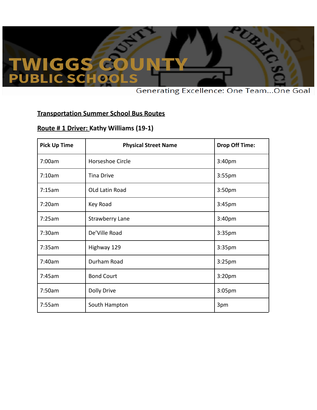## WIGGS<br>UBLIC SCH

**Generating Excellence: One Team...One Goal** 

RAI

#### **Transportation Summer School Bus Routes**

#### **Route # 1 Driver: Kathy Williams (19-1)**

| <b>Pick Up Time</b> | <b>Physical Street Name</b> | <b>Drop Off Time:</b> |
|---------------------|-----------------------------|-----------------------|
| 7:00am              | Horseshoe Circle            | 3:40pm                |
| 7:10am              | <b>Tina Drive</b>           | 3:55pm                |
| 7:15am              | OLd Latin Road              | 3:50pm                |
| 7:20am              | Key Road                    | 3:45pm                |
| 7:25am              | <b>Strawberry Lane</b>      | 3:40pm                |
| 7:30am              | De'Ville Road               | 3:35pm                |
| 7:35am              | Highway 129                 | 3:35pm                |
| 7:40am              | Durham Road                 | 3:25pm                |
| 7:45am              | <b>Bond Court</b>           | 3:20pm                |
| 7:50am              | <b>Dolly Drive</b>          | 3:05pm                |
| 7:55am              | South Hampton               | 3pm                   |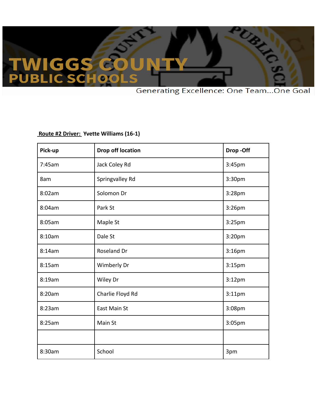### **IGGS** W<br>UBl C.

**Generating Excellence: One Team...One Goal** 

RES

#### **Route #2 Driver: Yvette Williams (16-1)**

| Pick-up | <b>Drop off location</b> | Drop-Off           |
|---------|--------------------------|--------------------|
| 7:45am  | Jack Coley Rd            | 3:45pm             |
| 8am     | Springvalley Rd          | 3:30pm             |
| 8:02am  | Solomon Dr               | 3:28pm             |
| 8:04am  | Park St                  | 3:26pm             |
| 8:05am  | Maple St                 | 3:25pm             |
| 8:10am  | Dale St                  | 3:20pm             |
| 8:14am  | Roseland Dr              | 3:16pm             |
| 8:15am  | Wimberly Dr              | 3:15pm             |
| 8:19am  | Wiley Dr                 | 3:12 <sub>pm</sub> |
| 8:20am  | Charlie Floyd Rd         | 3:11pm             |
| 8:23am  | East Main St             | 3:08pm             |
| 8:25am  | Main St                  | 3:05pm             |
|         |                          |                    |
| 8:30am  | School                   | 3pm                |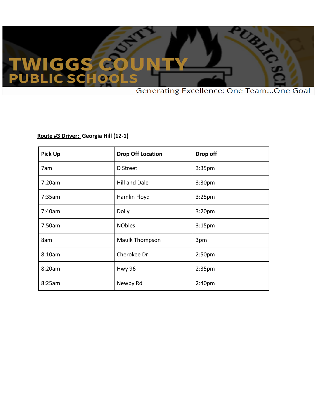# **WIGGS<br>UBLIC SCH**

**Generating Excellence: One Team...One Goal** 

REA

#### **Route #3 Driver: Georgia Hill (12-1)**

| <b>Pick Up</b> | <b>Drop Off Location</b> | Drop off           |
|----------------|--------------------------|--------------------|
| 7am            | D Street                 | 3:35pm             |
| 7:20am         | Hill and Dale            | 3:30pm             |
| 7:35am         | Hamlin Floyd             | 3:25 <sub>pm</sub> |
| 7:40am         | Dolly                    | 3:20pm             |
| 7:50am         | <b>NObles</b>            | 3:15 <sub>pm</sub> |
| 8am            | Maulk Thompson           | 3pm                |
| 8:10am         | Cherokee Dr              | 2:50 <sub>pm</sub> |
| 8:20am         | Hwy 96                   | 2:35 <sub>pm</sub> |
| 8:25am         | Newby Rd                 | 2:40pm             |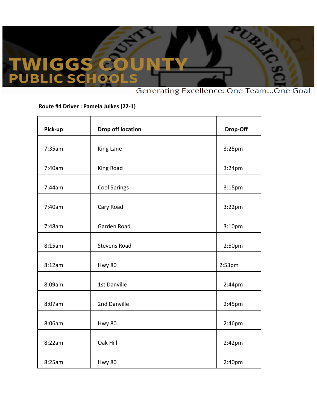## **IGGS** W<br>UBI

Generating Excellence: One Team...One Goal

REA

#### **Route #4 Driver : Pamela Julkes (22-1)**

| Pick-up | <b>Drop off location</b> | Drop-Off           |
|---------|--------------------------|--------------------|
| 7:35am  | King Lane                | 3:25pm             |
| 7:40am  | King Road                | 3:24pm             |
| 7:44am  | <b>Cool Springs</b>      | 3:15 <sub>pm</sub> |
| 7:40am  | Cary Road                | $3:22$ pm          |
| 7:48am  | Garden Road              | 3:10 <sub>pm</sub> |
| 8:15am  | <b>Stevens Road</b>      | 2:50pm             |
| 8:12am  | <b>Hwy 80</b>            | 2:53 <sub>pm</sub> |
| 8:09am  | 1st Danville             | 2:44pm             |
| 8:07am  | 2nd Danville             | 2:45pm             |
| 8:06am  | <b>Hwy 80</b>            | 2:46pm             |
| 8:22am  | Oak Hill                 | $2:42$ pm          |
| 8:25am  | <b>Hwy 80</b>            | 2:40pm             |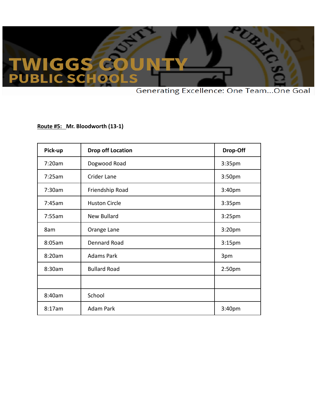# WIGGS<br>UBLIC SCH

**Generating Excellence: One Team...One Goal** 

REA

#### **Route #5: Mr. Bloodworth (13-1)**

| Pick-up | <b>Drop off Location</b> | Drop-Off           |
|---------|--------------------------|--------------------|
| 7:20am  | Dogwood Road             | 3:35pm             |
| 7:25am  | Crider Lane              | 3:50pm             |
| 7:30am  | Friendship Road          | 3:40pm             |
| 7:45am  | <b>Huston Circle</b>     | 3:35pm             |
| 7:55am  | <b>New Bullard</b>       | 3:25 <sub>pm</sub> |
| 8am     | Orange Lane              | 3:20pm             |
| 8:05am  | <b>Dennard Road</b>      | 3:15 <sub>pm</sub> |
| 8:20am  | <b>Adams Park</b>        | 3pm                |
| 8:30am  | <b>Bullard Road</b>      | 2:50 <sub>pm</sub> |
|         |                          |                    |
| 8:40am  | School                   |                    |
| 8:17am  | <b>Adam Park</b>         | 3:40pm             |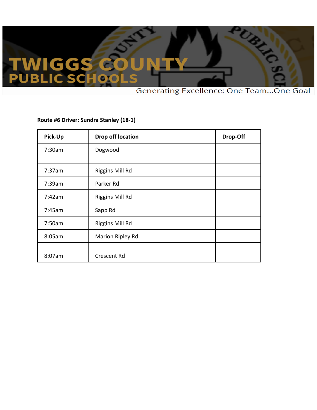### **IGGS** WI]<br>UBL C S

**Generating Excellence: One Team...One Goal** 

**RAND** 

#### **Route #6 Driver: Sundra Stanley (18-1)**

| Pick-Up | Drop off location  | Drop-Off |
|---------|--------------------|----------|
| 7:30am  | Dogwood            |          |
| 7:37am  | Riggins Mill Rd    |          |
| 7:39am  | Parker Rd          |          |
| 7:42am  | Riggins Mill Rd    |          |
| 7:45am  | Sapp Rd            |          |
| 7:50am  | Riggins Mill Rd    |          |
| 8:05am  | Marion Ripley Rd.  |          |
| 8:07am  | <b>Crescent Rd</b> |          |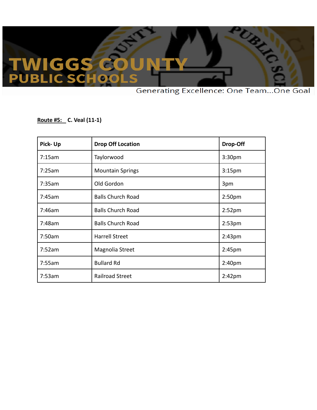## **TWIGGS**

**Generating Excellence: One Team...One Goal** 

TAN 1

**Route #5: C. Veal (11-1)**

| Pick-Up | <b>Drop Off Location</b> | Drop-Off           |
|---------|--------------------------|--------------------|
| 7:15am  | Taylorwood               | 3:30 <sub>pm</sub> |
| 7:25am  | <b>Mountain Springs</b>  | 3:15 <sub>pm</sub> |
| 7:35am  | Old Gordon               | 3pm                |
| 7:45am  | <b>Balls Church Road</b> | 2:50 <sub>pm</sub> |
| 7:46am  | <b>Balls Church Road</b> | 2:52 <sub>pm</sub> |
| 7:48am  | <b>Balls Church Road</b> | 2:53 <sub>pm</sub> |
| 7:50am  | <b>Harrell Street</b>    | 2:43 <sub>pm</sub> |
| 7:52am  | Magnolia Street          | 2:45pm             |
| 7:55am  | <b>Bullard Rd</b>        | 2:40pm             |
| 7:53am  | <b>Railroad Street</b>   | $2:42$ pm          |